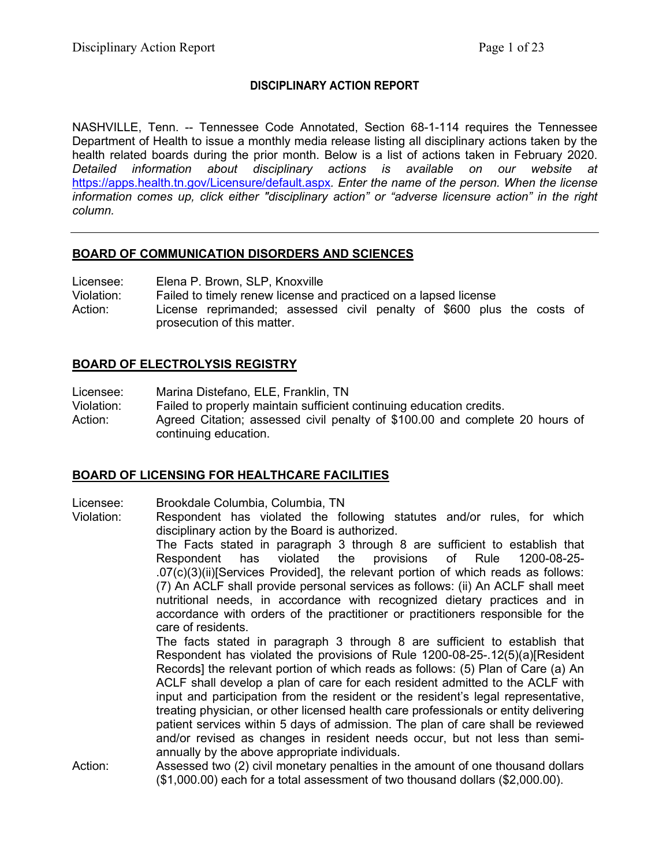### **DISCIPLINARY ACTION REPORT**

NASHVILLE, Tenn. -- Tennessee Code Annotated, Section 68-1-114 requires the Tennessee Department of Health to issue a monthly media release listing all disciplinary actions taken by the health related boards during the prior month. Below is a list of actions taken in February 2020. *Detailed information about disciplinary actions is available on our website at*  <https://apps.health.tn.gov/Licensure/default.aspx>*. Enter the name of the person. When the license information comes up, click either "disciplinary action" or "adverse licensure action" in the right column.*

### **BOARD OF COMMUNICATION DISORDERS AND SCIENCES**

Licensee: Elena P. Brown, SLP, Knoxville

Violation: Failed to timely renew license and practiced on a lapsed license

Action: License reprimanded; assessed civil penalty of \$600 plus the costs of prosecution of this matter.

### **BOARD OF ELECTROLYSIS REGISTRY**

Licensee: Marina Distefano, ELE, Franklin, TN

Violation: Failed to properly maintain sufficient continuing education credits. Action: Agreed Citation; assessed civil penalty of \$100.00 and complete 20 hours of continuing education.

# **BOARD OF LICENSING FOR HEALTHCARE FACILITIES**

Licensee: Brookdale Columbia, Columbia, TN

Violation: Respondent has violated the following statutes and/or rules, for which disciplinary action by the Board is authorized.

The Facts stated in paragraph 3 through 8 are sufficient to establish that Respondent has violated the provisions of Rule 1200-08-25- .07(c)(3)(ii)[Services Provided], the relevant portion of which reads as follows: (7) An ACLF shall provide personal services as follows: (ii) An ACLF shall meet nutritional needs, in accordance with recognized dietary practices and in accordance with orders of the practitioner or practitioners responsible for the care of residents.

The facts stated in paragraph 3 through 8 are sufficient to establish that Respondent has violated the provisions of Rule 1200-08-25-.12(5)(a)[Resident Records] the relevant portion of which reads as follows: (5) Plan of Care (a) An ACLF shall develop a plan of care for each resident admitted to the ACLF with input and participation from the resident or the resident's legal representative, treating physician, or other licensed health care professionals or entity delivering patient services within 5 days of admission. The plan of care shall be reviewed and/or revised as changes in resident needs occur, but not less than semiannually by the above appropriate individuals.

Action: Assessed two (2) civil monetary penalties in the amount of one thousand dollars (\$1,000.00) each for a total assessment of two thousand dollars (\$2,000.00).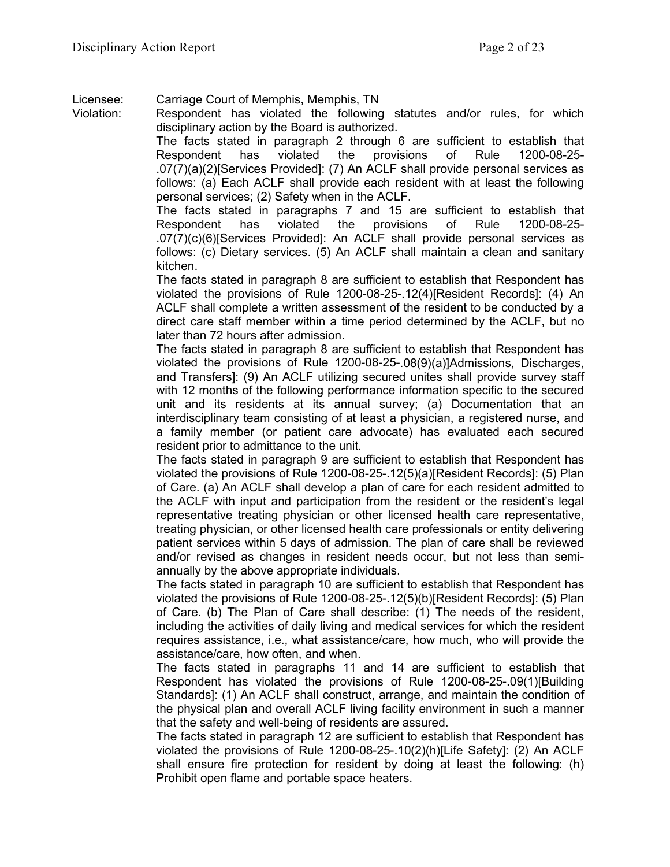Licensee: Carriage Court of Memphis, Memphis, TN

Violation: Respondent has violated the following statutes and/or rules, for which disciplinary action by the Board is authorized.

The facts stated in paragraph 2 through 6 are sufficient to establish that Respondent has violated the provisions of Rule 1200-08-25- .07(7)(a)(2)[Services Provided]: (7) An ACLF shall provide personal services as follows: (a) Each ACLF shall provide each resident with at least the following personal services; (2) Safety when in the ACLF.

The facts stated in paragraphs 7 and 15 are sufficient to establish that Respondent has violated the provisions of Rule 1200-08-25- .07(7)(c)(6)[Services Provided]: An ACLF shall provide personal services as follows: (c) Dietary services. (5) An ACLF shall maintain a clean and sanitary kitchen.

The facts stated in paragraph 8 are sufficient to establish that Respondent has violated the provisions of Rule 1200-08-25-.12(4)[Resident Records]: (4) An ACLF shall complete a written assessment of the resident to be conducted by a direct care staff member within a time period determined by the ACLF, but no later than 72 hours after admission.

The facts stated in paragraph 8 are sufficient to establish that Respondent has violated the provisions of Rule 1200-08-25-.08(9)(a)]Admissions, Discharges, and Transfers]: (9) An ACLF utilizing secured unites shall provide survey staff with 12 months of the following performance information specific to the secured unit and its residents at its annual survey; (a) Documentation that an interdisciplinary team consisting of at least a physician, a registered nurse, and a family member (or patient care advocate) has evaluated each secured resident prior to admittance to the unit.

The facts stated in paragraph 9 are sufficient to establish that Respondent has violated the provisions of Rule 1200-08-25-.12(5)(a)[Resident Records]: (5) Plan of Care. (a) An ACLF shall develop a plan of care for each resident admitted to the ACLF with input and participation from the resident or the resident's legal representative treating physician or other licensed health care representative, treating physician, or other licensed health care professionals or entity delivering patient services within 5 days of admission. The plan of care shall be reviewed and/or revised as changes in resident needs occur, but not less than semiannually by the above appropriate individuals.

The facts stated in paragraph 10 are sufficient to establish that Respondent has violated the provisions of Rule 1200-08-25-.12(5)(b)[Resident Records]: (5) Plan of Care. (b) The Plan of Care shall describe: (1) The needs of the resident, including the activities of daily living and medical services for which the resident requires assistance, i.e., what assistance/care, how much, who will provide the assistance/care, how often, and when.

The facts stated in paragraphs 11 and 14 are sufficient to establish that Respondent has violated the provisions of Rule 1200-08-25-.09(1)[Building Standards]: (1) An ACLF shall construct, arrange, and maintain the condition of the physical plan and overall ACLF living facility environment in such a manner that the safety and well-being of residents are assured.

The facts stated in paragraph 12 are sufficient to establish that Respondent has violated the provisions of Rule 1200-08-25-.10(2)(h)[Life Safety]: (2) An ACLF shall ensure fire protection for resident by doing at least the following: (h) Prohibit open flame and portable space heaters.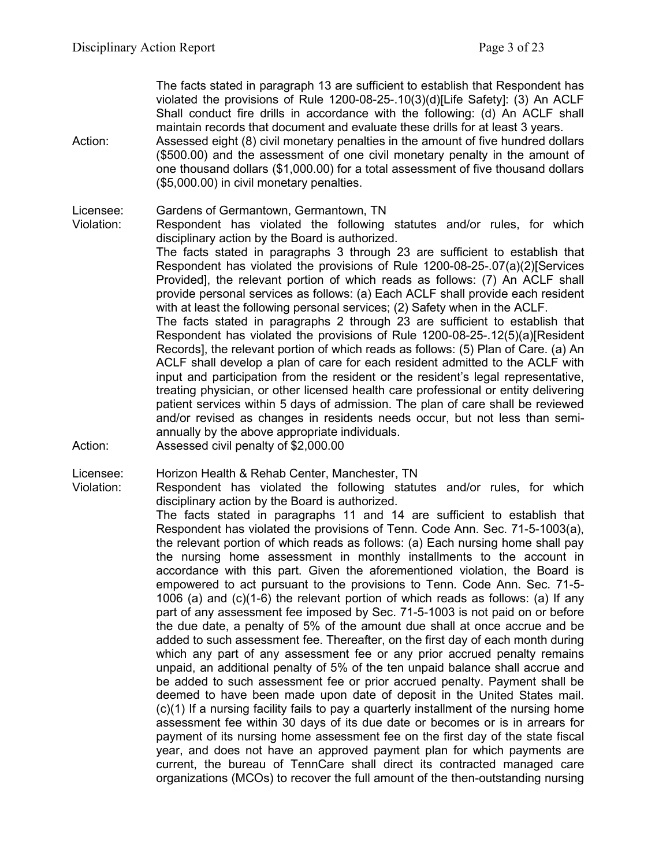The facts stated in paragraph 13 are sufficient to establish that Respondent has violated the provisions of Rule 1200-08-25-.10(3)(d)[Life Safety]: (3) An ACLF Shall conduct fire drills in accordance with the following: (d) An ACLF shall maintain records that document and evaluate these drills for at least 3 years.

Action: Assessed eight (8) civil monetary penalties in the amount of five hundred dollars (\$500.00) and the assessment of one civil monetary penalty in the amount of one thousand dollars (\$1,000.00) for a total assessment of five thousand dollars (\$5,000.00) in civil monetary penalties.

Licensee: Gardens of Germantown, Germantown, TN<br>Violation: Respondent has violated the following

Respondent has violated the following statutes and/or rules, for which disciplinary action by the Board is authorized.

The facts stated in paragraphs 3 through 23 are sufficient to establish that Respondent has violated the provisions of Rule 1200-08-25-.07(a)(2)[Services Provided], the relevant portion of which reads as follows: (7) An ACLF shall provide personal services as follows: (a) Each ACLF shall provide each resident with at least the following personal services; (2) Safety when in the ACLF.

The facts stated in paragraphs 2 through 23 are sufficient to establish that Respondent has violated the provisions of Rule 1200-08-25-.12(5)(a)[Resident Records], the relevant portion of which reads as follows: (5) Plan of Care. (a) An ACLF shall develop a plan of care for each resident admitted to the ACLF with input and participation from the resident or the resident's legal representative, treating physician, or other licensed health care professional or entity delivering patient services within 5 days of admission. The plan of care shall be reviewed and/or revised as changes in residents needs occur, but not less than semiannually by the above appropriate individuals.

Action: Assessed civil penalty of \$2,000.00

Licensee: Horizon Health & Rehab Center, Manchester, TN

Violation: Respondent has violated the following statutes and/or rules, for which disciplinary action by the Board is authorized.

The facts stated in paragraphs 11 and 14 are sufficient to establish that Respondent has violated the provisions of Tenn. Code Ann. Sec. 71-5-1003(a), the relevant portion of which reads as follows: (a) Each nursing home shall pay the nursing home assessment in monthly installments to the account in accordance with this part. Given the aforementioned violation, the Board is empowered to act pursuant to the provisions to Tenn. Code Ann. Sec. 71-5- 1006 (a) and (c)(1-6) the relevant portion of which reads as follows: (a) If any part of any assessment fee imposed by Sec. 71-5-1003 is not paid on or before the due date, a penalty of 5% of the amount due shall at once accrue and be added to such assessment fee. Thereafter, on the first day of each month during which any part of any assessment fee or any prior accrued penalty remains unpaid, an additional penalty of 5% of the ten unpaid balance shall accrue and be added to such assessment fee or prior accrued penalty. Payment shall be deemed to have been made upon date of deposit in the United States mail. (c)(1) If a nursing facility fails to pay a quarterly installment of the nursing home assessment fee within 30 days of its due date or becomes or is in arrears for payment of its nursing home assessment fee on the first day of the state fiscal year, and does not have an approved payment plan for which payments are current, the bureau of TennCare shall direct its contracted managed care organizations (MCOs) to recover the full amount of the then-outstanding nursing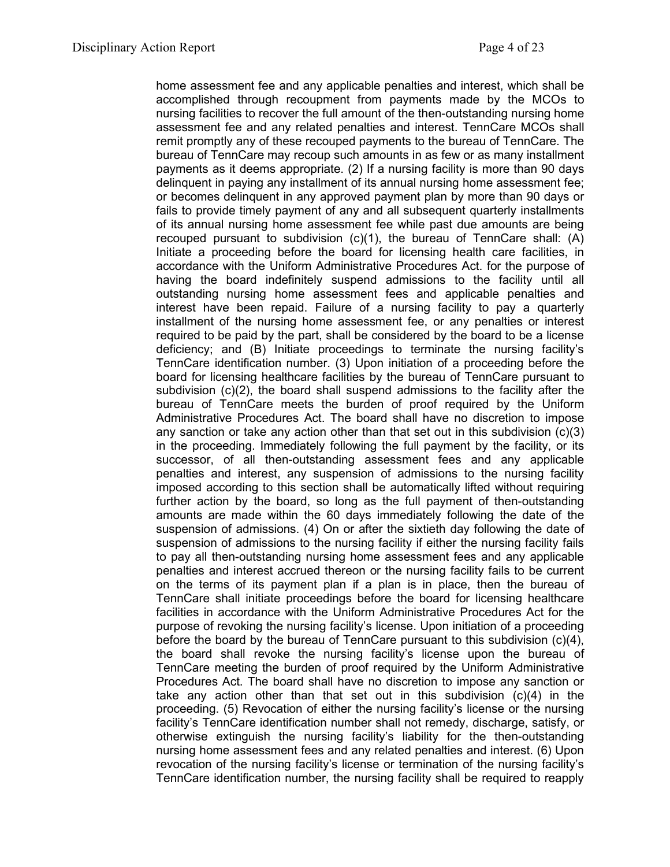home assessment fee and any applicable penalties and interest, which shall be accomplished through recoupment from payments made by the MCOs to nursing facilities to recover the full amount of the then-outstanding nursing home assessment fee and any related penalties and interest. TennCare MCOs shall remit promptly any of these recouped payments to the bureau of TennCare. The bureau of TennCare may recoup such amounts in as few or as many installment payments as it deems appropriate. (2) If a nursing facility is more than 90 days delinquent in paying any installment of its annual nursing home assessment fee; or becomes delinquent in any approved payment plan by more than 90 days or fails to provide timely payment of any and all subsequent quarterly installments of its annual nursing home assessment fee while past due amounts are being recouped pursuant to subdivision (c)(1), the bureau of TennCare shall: (A) Initiate a proceeding before the board for licensing health care facilities, in accordance with the Uniform Administrative Procedures Act. for the purpose of having the board indefinitely suspend admissions to the facility until all outstanding nursing home assessment fees and applicable penalties and interest have been repaid. Failure of a nursing facility to pay a quarterly installment of the nursing home assessment fee, or any penalties or interest required to be paid by the part, shall be considered by the board to be a license deficiency; and (B) Initiate proceedings to terminate the nursing facility's TennCare identification number. (3) Upon initiation of a proceeding before the board for licensing healthcare facilities by the bureau of TennCare pursuant to subdivision (c)(2), the board shall suspend admissions to the facility after the bureau of TennCare meets the burden of proof required by the Uniform Administrative Procedures Act. The board shall have no discretion to impose any sanction or take any action other than that set out in this subdivision  $(c)(3)$ in the proceeding. Immediately following the full payment by the facility, or its successor, of all then-outstanding assessment fees and any applicable penalties and interest, any suspension of admissions to the nursing facility imposed according to this section shall be automatically lifted without requiring further action by the board, so long as the full payment of then-outstanding amounts are made within the 60 days immediately following the date of the suspension of admissions. (4) On or after the sixtieth day following the date of suspension of admissions to the nursing facility if either the nursing facility fails to pay all then-outstanding nursing home assessment fees and any applicable penalties and interest accrued thereon or the nursing facility fails to be current on the terms of its payment plan if a plan is in place, then the bureau of TennCare shall initiate proceedings before the board for licensing healthcare facilities in accordance with the Uniform Administrative Procedures Act for the purpose of revoking the nursing facility's license. Upon initiation of a proceeding before the board by the bureau of TennCare pursuant to this subdivision  $(c)(4)$ , the board shall revoke the nursing facility's license upon the bureau of TennCare meeting the burden of proof required by the Uniform Administrative Procedures Act. The board shall have no discretion to impose any sanction or take any action other than that set out in this subdivision (c)(4) in the proceeding. (5) Revocation of either the nursing facility's license or the nursing facility's TennCare identification number shall not remedy, discharge, satisfy, or otherwise extinguish the nursing facility's liability for the then-outstanding nursing home assessment fees and any related penalties and interest. (6) Upon revocation of the nursing facility's license or termination of the nursing facility's TennCare identification number, the nursing facility shall be required to reapply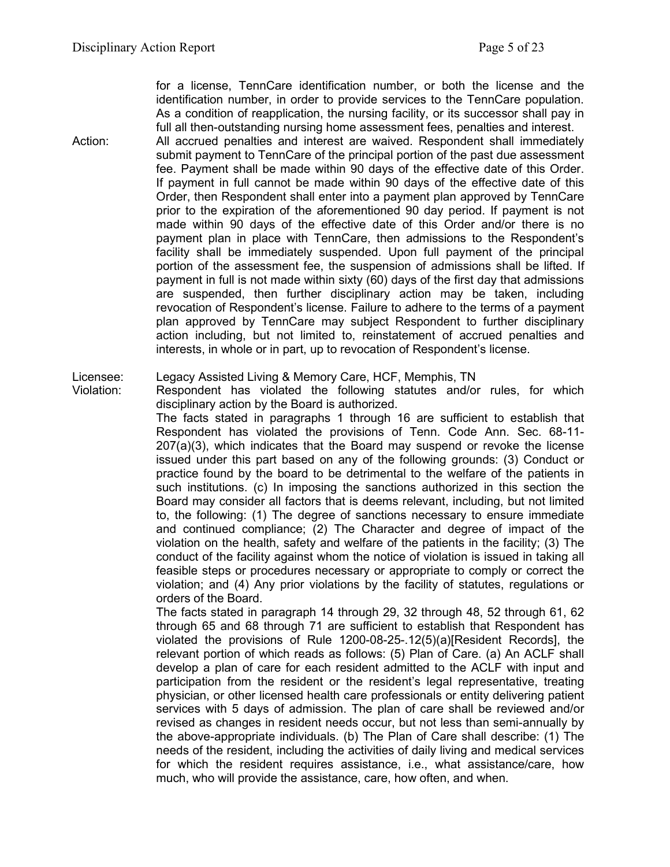for a license, TennCare identification number, or both the license and the identification number, in order to provide services to the TennCare population. As a condition of reapplication, the nursing facility, or its successor shall pay in full all then-outstanding nursing home assessment fees, penalties and interest.

Action: All accrued penalties and interest are waived. Respondent shall immediately submit payment to TennCare of the principal portion of the past due assessment fee. Payment shall be made within 90 days of the effective date of this Order. If payment in full cannot be made within 90 days of the effective date of this Order, then Respondent shall enter into a payment plan approved by TennCare prior to the expiration of the aforementioned 90 day period. If payment is not made within 90 days of the effective date of this Order and/or there is no payment plan in place with TennCare, then admissions to the Respondent's facility shall be immediately suspended. Upon full payment of the principal portion of the assessment fee, the suspension of admissions shall be lifted. If payment in full is not made within sixty (60) days of the first day that admissions are suspended, then further disciplinary action may be taken, including revocation of Respondent's license. Failure to adhere to the terms of a payment plan approved by TennCare may subject Respondent to further disciplinary action including, but not limited to, reinstatement of accrued penalties and interests, in whole or in part, up to revocation of Respondent's license.

Licensee: Legacy Assisted Living & Memory Care, HCF, Memphis, TN

Violation: Respondent has violated the following statutes and/or rules, for which disciplinary action by the Board is authorized.

The facts stated in paragraphs 1 through 16 are sufficient to establish that Respondent has violated the provisions of Tenn. Code Ann. Sec. 68-11- 207(a)(3), which indicates that the Board may suspend or revoke the license issued under this part based on any of the following grounds: (3) Conduct or practice found by the board to be detrimental to the welfare of the patients in such institutions. (c) In imposing the sanctions authorized in this section the Board may consider all factors that is deems relevant, including, but not limited to, the following: (1) The degree of sanctions necessary to ensure immediate and continued compliance; (2) The Character and degree of impact of the violation on the health, safety and welfare of the patients in the facility; (3) The conduct of the facility against whom the notice of violation is issued in taking all feasible steps or procedures necessary or appropriate to comply or correct the violation; and (4) Any prior violations by the facility of statutes, regulations or orders of the Board.

The facts stated in paragraph 14 through 29, 32 through 48, 52 through 61, 62 through 65 and 68 through 71 are sufficient to establish that Respondent has violated the provisions of Rule 1200-08-25-.12(5)(a)[Resident Records], the relevant portion of which reads as follows: (5) Plan of Care. (a) An ACLF shall develop a plan of care for each resident admitted to the ACLF with input and participation from the resident or the resident's legal representative, treating physician, or other licensed health care professionals or entity delivering patient services with 5 days of admission. The plan of care shall be reviewed and/or revised as changes in resident needs occur, but not less than semi-annually by the above-appropriate individuals. (b) The Plan of Care shall describe: (1) The needs of the resident, including the activities of daily living and medical services for which the resident requires assistance, i.e., what assistance/care, how much, who will provide the assistance, care, how often, and when.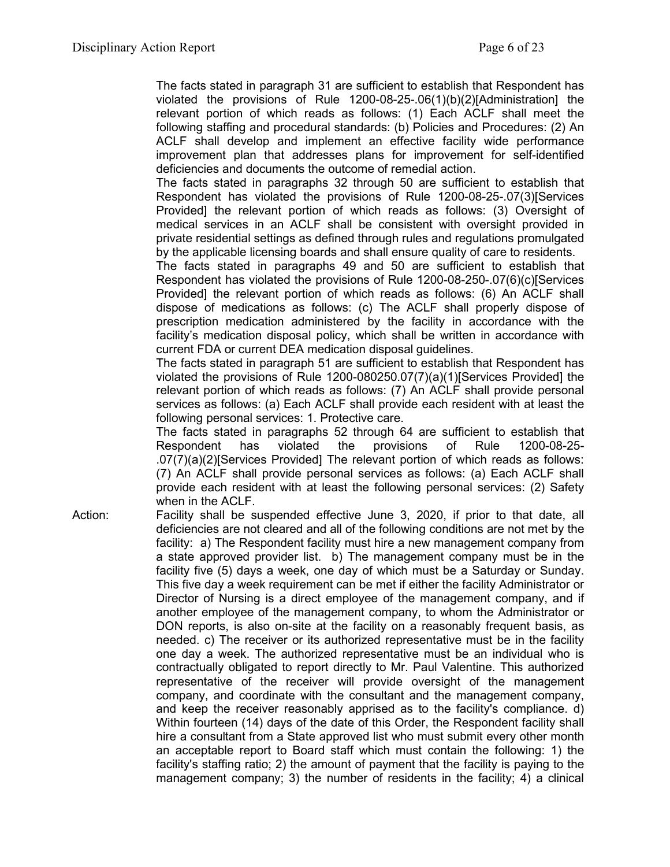The facts stated in paragraph 31 are sufficient to establish that Respondent has violated the provisions of Rule 1200-08-25-.06(1)(b)(2)[Administration] the relevant portion of which reads as follows: (1) Each ACLF shall meet the following staffing and procedural standards: (b) Policies and Procedures: (2) An ACLF shall develop and implement an effective facility wide performance improvement plan that addresses plans for improvement for self-identified deficiencies and documents the outcome of remedial action.

The facts stated in paragraphs 32 through 50 are sufficient to establish that Respondent has violated the provisions of Rule 1200-08-25-.07(3)[Services Provided] the relevant portion of which reads as follows: (3) Oversight of medical services in an ACLF shall be consistent with oversight provided in private residential settings as defined through rules and regulations promulgated by the applicable licensing boards and shall ensure quality of care to residents.

The facts stated in paragraphs 49 and 50 are sufficient to establish that Respondent has violated the provisions of Rule 1200-08-250-.07(6)(c)[Services Provided] the relevant portion of which reads as follows: (6) An ACLF shall dispose of medications as follows: (c) The ACLF shall properly dispose of prescription medication administered by the facility in accordance with the facility's medication disposal policy, which shall be written in accordance with current FDA or current DEA medication disposal guidelines.

The facts stated in paragraph 51 are sufficient to establish that Respondent has violated the provisions of Rule 1200-080250.07(7)(a)(1)[Services Provided] the relevant portion of which reads as follows: (7) An ACLF shall provide personal services as follows: (a) Each ACLF shall provide each resident with at least the following personal services: 1. Protective care.

The facts stated in paragraphs 52 through 64 are sufficient to establish that Respondent has violated the provisions of Rule 1200-08-25- .07(7)(a)(2)[Services Provided] The relevant portion of which reads as follows: (7) An ACLF shall provide personal services as follows: (a) Each ACLF shall provide each resident with at least the following personal services: (2) Safety when in the ACLF.

Action: Facility shall be suspended effective June 3, 2020, if prior to that date, all deficiencies are not cleared and all of the following conditions are not met by the facility: a) The Respondent facility must hire a new management company from a state approved provider list. b) The management company must be in the facility five (5) days a week, one day of which must be a Saturday or Sunday. This five day a week requirement can be met if either the facility Administrator or Director of Nursing is a direct employee of the management company, and if another employee of the management company, to whom the Administrator or DON reports, is also on-site at the facility on a reasonably frequent basis, as needed. c) The receiver or its authorized representative must be in the facility one day a week. The authorized representative must be an individual who is contractually obligated to report directly to Mr. Paul Valentine. This authorized representative of the receiver will provide oversight of the management company, and coordinate with the consultant and the management company, and keep the receiver reasonably apprised as to the facility's compliance. d) Within fourteen (14) days of the date of this Order, the Respondent facility shall hire a consultant from a State approved list who must submit every other month an acceptable report to Board staff which must contain the following: 1) the facility's staffing ratio; 2) the amount of payment that the facility is paying to the management company; 3) the number of residents in the facility; 4) a clinical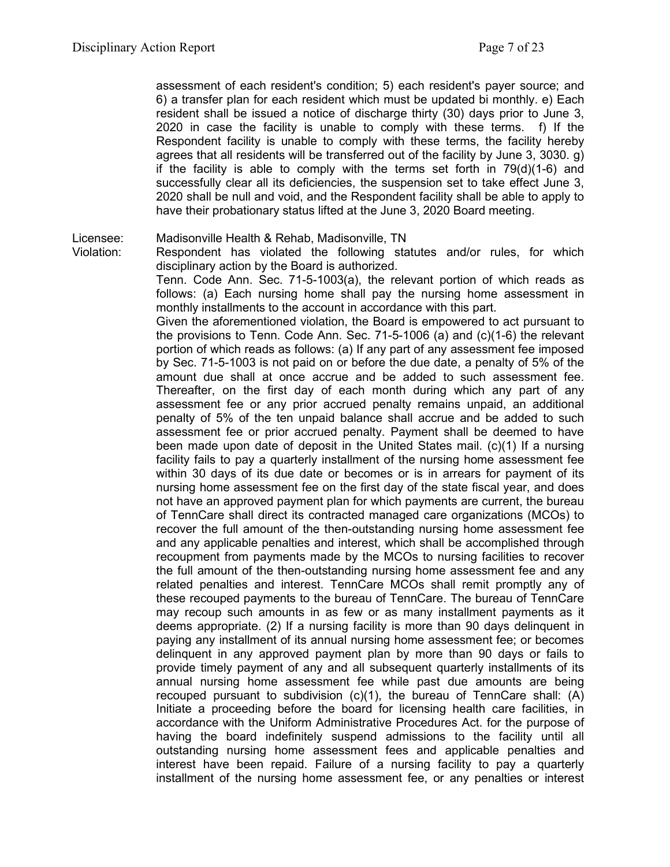assessment of each resident's condition; 5) each resident's payer source; and 6) a transfer plan for each resident which must be updated bi monthly. e) Each resident shall be issued a notice of discharge thirty (30) days prior to June 3, 2020 in case the facility is unable to comply with these terms. f) If the Respondent facility is unable to comply with these terms, the facility hereby agrees that all residents will be transferred out of the facility by June 3, 3030. g) if the facility is able to comply with the terms set forth in  $79(d)(1-6)$  and successfully clear all its deficiencies, the suspension set to take effect June 3, 2020 shall be null and void, and the Respondent facility shall be able to apply to have their probationary status lifted at the June 3, 2020 Board meeting.

#### Licensee: Madisonville Health & Rehab, Madisonville, TN

Violation: Respondent has violated the following statutes and/or rules, for which disciplinary action by the Board is authorized.

Tenn. Code Ann. Sec. 71-5-1003(a), the relevant portion of which reads as follows: (a) Each nursing home shall pay the nursing home assessment in monthly installments to the account in accordance with this part.

Given the aforementioned violation, the Board is empowered to act pursuant to the provisions to Tenn. Code Ann. Sec. 71-5-1006 (a) and (c)(1-6) the relevant portion of which reads as follows: (a) If any part of any assessment fee imposed by Sec. 71-5-1003 is not paid on or before the due date, a penalty of 5% of the amount due shall at once accrue and be added to such assessment fee. Thereafter, on the first day of each month during which any part of any assessment fee or any prior accrued penalty remains unpaid, an additional penalty of 5% of the ten unpaid balance shall accrue and be added to such assessment fee or prior accrued penalty. Payment shall be deemed to have been made upon date of deposit in the United States mail. (c)(1) If a nursing facility fails to pay a quarterly installment of the nursing home assessment fee within 30 days of its due date or becomes or is in arrears for payment of its nursing home assessment fee on the first day of the state fiscal year, and does not have an approved payment plan for which payments are current, the bureau of TennCare shall direct its contracted managed care organizations (MCOs) to recover the full amount of the then-outstanding nursing home assessment fee and any applicable penalties and interest, which shall be accomplished through recoupment from payments made by the MCOs to nursing facilities to recover the full amount of the then-outstanding nursing home assessment fee and any related penalties and interest. TennCare MCOs shall remit promptly any of these recouped payments to the bureau of TennCare. The bureau of TennCare may recoup such amounts in as few or as many installment payments as it deems appropriate. (2) If a nursing facility is more than 90 days delinquent in paying any installment of its annual nursing home assessment fee; or becomes delinquent in any approved payment plan by more than 90 days or fails to provide timely payment of any and all subsequent quarterly installments of its annual nursing home assessment fee while past due amounts are being recouped pursuant to subdivision  $(c)(1)$ , the bureau of TennCare shall:  $(A)$ Initiate a proceeding before the board for licensing health care facilities, in accordance with the Uniform Administrative Procedures Act. for the purpose of having the board indefinitely suspend admissions to the facility until all outstanding nursing home assessment fees and applicable penalties and interest have been repaid. Failure of a nursing facility to pay a quarterly installment of the nursing home assessment fee, or any penalties or interest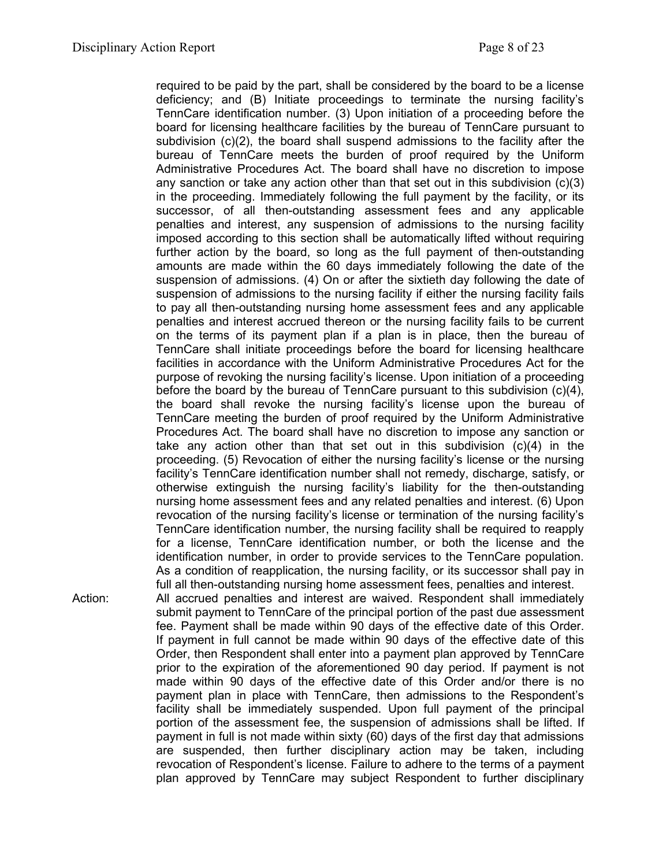required to be paid by the part, shall be considered by the board to be a license deficiency; and (B) Initiate proceedings to terminate the nursing facility's TennCare identification number. (3) Upon initiation of a proceeding before the board for licensing healthcare facilities by the bureau of TennCare pursuant to subdivision (c)(2), the board shall suspend admissions to the facility after the bureau of TennCare meets the burden of proof required by the Uniform Administrative Procedures Act. The board shall have no discretion to impose any sanction or take any action other than that set out in this subdivision  $(c)(3)$ in the proceeding. Immediately following the full payment by the facility, or its successor, of all then-outstanding assessment fees and any applicable penalties and interest, any suspension of admissions to the nursing facility imposed according to this section shall be automatically lifted without requiring further action by the board, so long as the full payment of then-outstanding amounts are made within the 60 days immediately following the date of the suspension of admissions. (4) On or after the sixtieth day following the date of suspension of admissions to the nursing facility if either the nursing facility fails to pay all then-outstanding nursing home assessment fees and any applicable penalties and interest accrued thereon or the nursing facility fails to be current on the terms of its payment plan if a plan is in place, then the bureau of TennCare shall initiate proceedings before the board for licensing healthcare facilities in accordance with the Uniform Administrative Procedures Act for the purpose of revoking the nursing facility's license. Upon initiation of a proceeding before the board by the bureau of TennCare pursuant to this subdivision (c)(4), the board shall revoke the nursing facility's license upon the bureau of TennCare meeting the burden of proof required by the Uniform Administrative Procedures Act. The board shall have no discretion to impose any sanction or take any action other than that set out in this subdivision (c)(4) in the proceeding. (5) Revocation of either the nursing facility's license or the nursing facility's TennCare identification number shall not remedy, discharge, satisfy, or otherwise extinguish the nursing facility's liability for the then-outstanding nursing home assessment fees and any related penalties and interest. (6) Upon revocation of the nursing facility's license or termination of the nursing facility's TennCare identification number, the nursing facility shall be required to reapply for a license, TennCare identification number, or both the license and the identification number, in order to provide services to the TennCare population. As a condition of reapplication, the nursing facility, or its successor shall pay in full all then-outstanding nursing home assessment fees, penalties and interest. submit payment to TennCare of the principal portion of the past due assessment fee. Payment shall be made within 90 days of the effective date of this Order. If payment in full cannot be made within 90 days of the effective date of this Order, then Respondent shall enter into a payment plan approved by TennCare

Action: All accrued penalties and interest are waived. Respondent shall immediately prior to the expiration of the aforementioned 90 day period. If payment is not made within 90 days of the effective date of this Order and/or there is no payment plan in place with TennCare, then admissions to the Respondent's facility shall be immediately suspended. Upon full payment of the principal portion of the assessment fee, the suspension of admissions shall be lifted. If payment in full is not made within sixty (60) days of the first day that admissions are suspended, then further disciplinary action may be taken, including revocation of Respondent's license. Failure to adhere to the terms of a payment plan approved by TennCare may subject Respondent to further disciplinary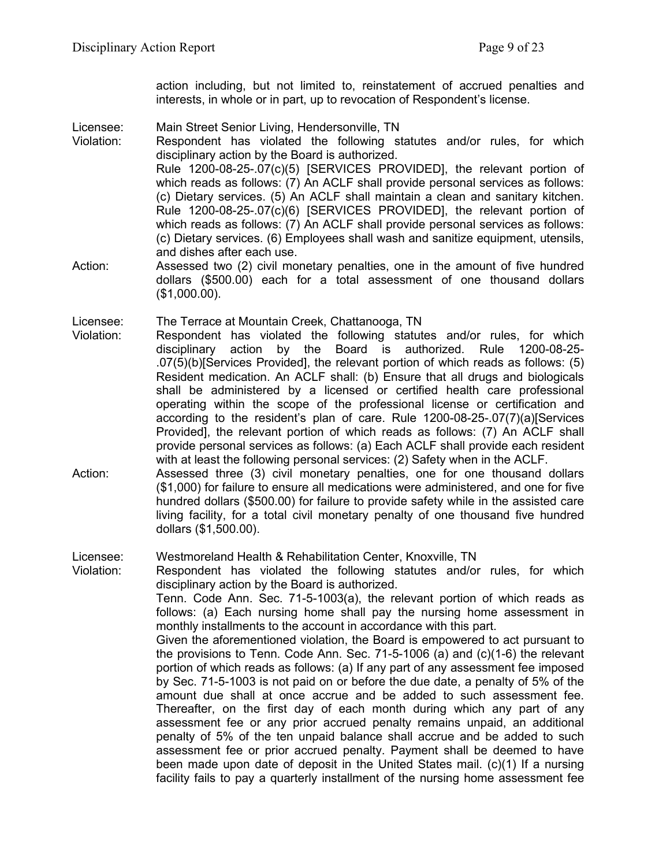action including, but not limited to, reinstatement of accrued penalties and interests, in whole or in part, up to revocation of Respondent's license.

Licensee: Main Street Senior Living, Hendersonville, TN

Violation: Respondent has violated the following statutes and/or rules, for which disciplinary action by the Board is authorized. Rule 1200-08-25-.07(c)(5) [SERVICES PROVIDED], the relevant portion of which reads as follows: (7) An ACLF shall provide personal services as follows: (c) Dietary services. (5) An ACLF shall maintain a clean and sanitary kitchen. Rule 1200-08-25-.07(c)(6) [SERVICES PROVIDED], the relevant portion of which reads as follows: (7) An ACLF shall provide personal services as follows: (c) Dietary services. (6) Employees shall wash and sanitize equipment, utensils, and dishes after each use.

- Action: Assessed two (2) civil monetary penalties, one in the amount of five hundred dollars (\$500.00) each for a total assessment of one thousand dollars (\$1,000.00).
- Licensee: The Terrace at Mountain Creek, Chattanooga, TN
- Violation: Respondent has violated the following statutes and/or rules, for which disciplinary action by the Board is authorized. Rule 1200-08-25- .07(5)(b)[Services Provided], the relevant portion of which reads as follows: (5) Resident medication. An ACLF shall: (b) Ensure that all drugs and biologicals shall be administered by a licensed or certified health care professional operating within the scope of the professional license or certification and according to the resident's plan of care. Rule 1200-08-25-.07(7)(a)[Services Provided], the relevant portion of which reads as follows: (7) An ACLF shall provide personal services as follows: (a) Each ACLF shall provide each resident with at least the following personal services: (2) Safety when in the ACLF.
- Action: Assessed three (3) civil monetary penalties, one for one thousand dollars (\$1,000) for failure to ensure all medications were administered, and one for five hundred dollars (\$500.00) for failure to provide safety while in the assisted care living facility, for a total civil monetary penalty of one thousand five hundred dollars (\$1,500.00).

Licensee: Westmoreland Health & Rehabilitation Center, Knoxville, TN

Violation: Respondent has violated the following statutes and/or rules, for which disciplinary action by the Board is authorized. Tenn. Code Ann. Sec. 71-5-1003(a), the relevant portion of which reads as follows: (a) Each nursing home shall pay the nursing home assessment in monthly installments to the account in accordance with this part. Given the aforementioned violation, the Board is empowered to act pursuant to the provisions to Tenn. Code Ann. Sec. 71-5-1006 (a) and (c)(1-6) the relevant portion of which reads as follows: (a) If any part of any assessment fee imposed by Sec. 71-5-1003 is not paid on or before the due date, a penalty of 5% of the amount due shall at once accrue and be added to such assessment fee. Thereafter, on the first day of each month during which any part of any assessment fee or any prior accrued penalty remains unpaid, an additional penalty of 5% of the ten unpaid balance shall accrue and be added to such assessment fee or prior accrued penalty. Payment shall be deemed to have been made upon date of deposit in the United States mail. (c)(1) If a nursing facility fails to pay a quarterly installment of the nursing home assessment fee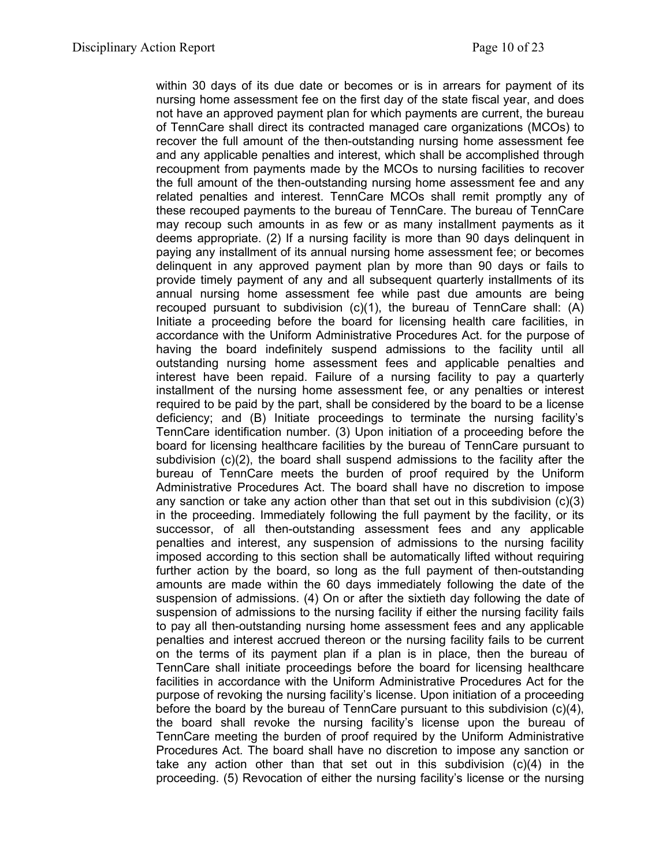within 30 days of its due date or becomes or is in arrears for payment of its nursing home assessment fee on the first day of the state fiscal year, and does not have an approved payment plan for which payments are current, the bureau of TennCare shall direct its contracted managed care organizations (MCOs) to recover the full amount of the then-outstanding nursing home assessment fee and any applicable penalties and interest, which shall be accomplished through recoupment from payments made by the MCOs to nursing facilities to recover the full amount of the then-outstanding nursing home assessment fee and any related penalties and interest. TennCare MCOs shall remit promptly any of these recouped payments to the bureau of TennCare. The bureau of TennCare may recoup such amounts in as few or as many installment payments as it deems appropriate. (2) If a nursing facility is more than 90 days delinquent in paying any installment of its annual nursing home assessment fee; or becomes delinquent in any approved payment plan by more than 90 days or fails to provide timely payment of any and all subsequent quarterly installments of its annual nursing home assessment fee while past due amounts are being recouped pursuant to subdivision (c)(1), the bureau of TennCare shall: (A) Initiate a proceeding before the board for licensing health care facilities, in accordance with the Uniform Administrative Procedures Act. for the purpose of having the board indefinitely suspend admissions to the facility until all outstanding nursing home assessment fees and applicable penalties and interest have been repaid. Failure of a nursing facility to pay a quarterly installment of the nursing home assessment fee, or any penalties or interest required to be paid by the part, shall be considered by the board to be a license deficiency; and (B) Initiate proceedings to terminate the nursing facility's TennCare identification number. (3) Upon initiation of a proceeding before the board for licensing healthcare facilities by the bureau of TennCare pursuant to subdivision (c)(2), the board shall suspend admissions to the facility after the bureau of TennCare meets the burden of proof required by the Uniform Administrative Procedures Act. The board shall have no discretion to impose any sanction or take any action other than that set out in this subdivision (c)(3) in the proceeding. Immediately following the full payment by the facility, or its successor, of all then-outstanding assessment fees and any applicable penalties and interest, any suspension of admissions to the nursing facility imposed according to this section shall be automatically lifted without requiring further action by the board, so long as the full payment of then-outstanding amounts are made within the 60 days immediately following the date of the suspension of admissions. (4) On or after the sixtieth day following the date of suspension of admissions to the nursing facility if either the nursing facility fails to pay all then-outstanding nursing home assessment fees and any applicable penalties and interest accrued thereon or the nursing facility fails to be current on the terms of its payment plan if a plan is in place, then the bureau of TennCare shall initiate proceedings before the board for licensing healthcare facilities in accordance with the Uniform Administrative Procedures Act for the purpose of revoking the nursing facility's license. Upon initiation of a proceeding before the board by the bureau of TennCare pursuant to this subdivision (c)(4), the board shall revoke the nursing facility's license upon the bureau of TennCare meeting the burden of proof required by the Uniform Administrative Procedures Act. The board shall have no discretion to impose any sanction or take any action other than that set out in this subdivision (c)(4) in the proceeding. (5) Revocation of either the nursing facility's license or the nursing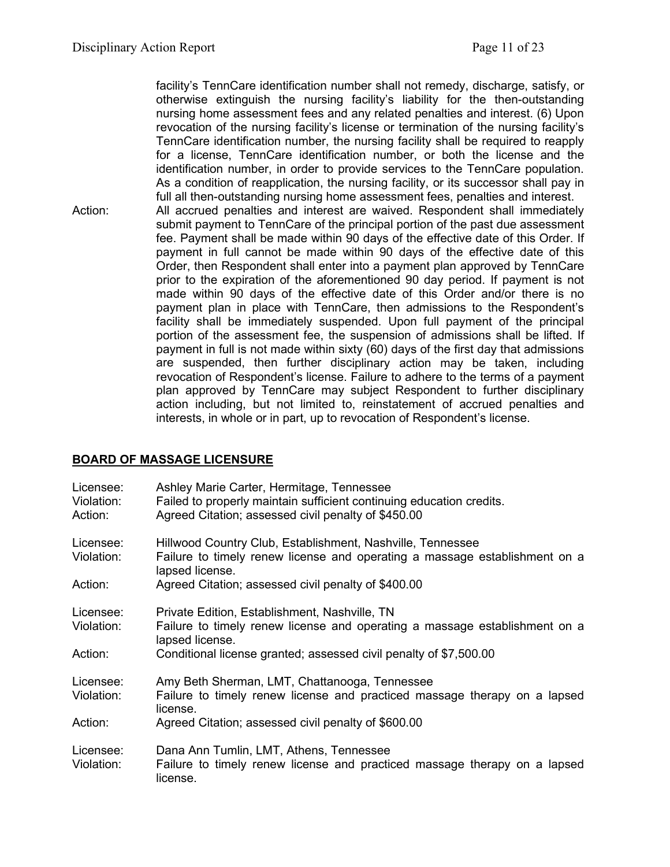facility's TennCare identification number shall not remedy, discharge, satisfy, or otherwise extinguish the nursing facility's liability for the then-outstanding nursing home assessment fees and any related penalties and interest. (6) Upon revocation of the nursing facility's license or termination of the nursing facility's TennCare identification number, the nursing facility shall be required to reapply for a license, TennCare identification number, or both the license and the identification number, in order to provide services to the TennCare population. As a condition of reapplication, the nursing facility, or its successor shall pay in full all then-outstanding nursing home assessment fees, penalties and interest.

Action: All accrued penalties and interest are waived. Respondent shall immediately submit payment to TennCare of the principal portion of the past due assessment fee. Payment shall be made within 90 days of the effective date of this Order. If payment in full cannot be made within 90 days of the effective date of this Order, then Respondent shall enter into a payment plan approved by TennCare prior to the expiration of the aforementioned 90 day period. If payment is not made within 90 days of the effective date of this Order and/or there is no payment plan in place with TennCare, then admissions to the Respondent's facility shall be immediately suspended. Upon full payment of the principal portion of the assessment fee, the suspension of admissions shall be lifted. If payment in full is not made within sixty (60) days of the first day that admissions are suspended, then further disciplinary action may be taken, including revocation of Respondent's license. Failure to adhere to the terms of a payment plan approved by TennCare may subject Respondent to further disciplinary action including, but not limited to, reinstatement of accrued penalties and interests, in whole or in part, up to revocation of Respondent's license.

# **BOARD OF MASSAGE LICENSURE**

| Licensee:<br>Violation:<br>Action: | Ashley Marie Carter, Hermitage, Tennessee<br>Failed to properly maintain sufficient continuing education credits.<br>Agreed Citation; assessed civil penalty of \$450.00 |
|------------------------------------|--------------------------------------------------------------------------------------------------------------------------------------------------------------------------|
| Licensee:<br>Violation:            | Hillwood Country Club, Establishment, Nashville, Tennessee<br>Failure to timely renew license and operating a massage establishment on a<br>lapsed license.              |
| Action:                            | Agreed Citation; assessed civil penalty of \$400.00                                                                                                                      |
| Licensee:<br>Violation:            | Private Edition, Establishment, Nashville, TN<br>Failure to timely renew license and operating a massage establishment on a<br>lapsed license.                           |
| Action:                            | Conditional license granted; assessed civil penalty of \$7,500.00                                                                                                        |
| Licensee:<br>Violation:            | Amy Beth Sherman, LMT, Chattanooga, Tennessee<br>Failure to timely renew license and practiced massage therapy on a lapsed<br>license.                                   |
| Action:                            | Agreed Citation; assessed civil penalty of \$600.00                                                                                                                      |
| Licensee:<br>Violation:            | Dana Ann Tumlin, LMT, Athens, Tennessee<br>Failure to timely renew license and practiced massage therapy on a lapsed<br>license.                                         |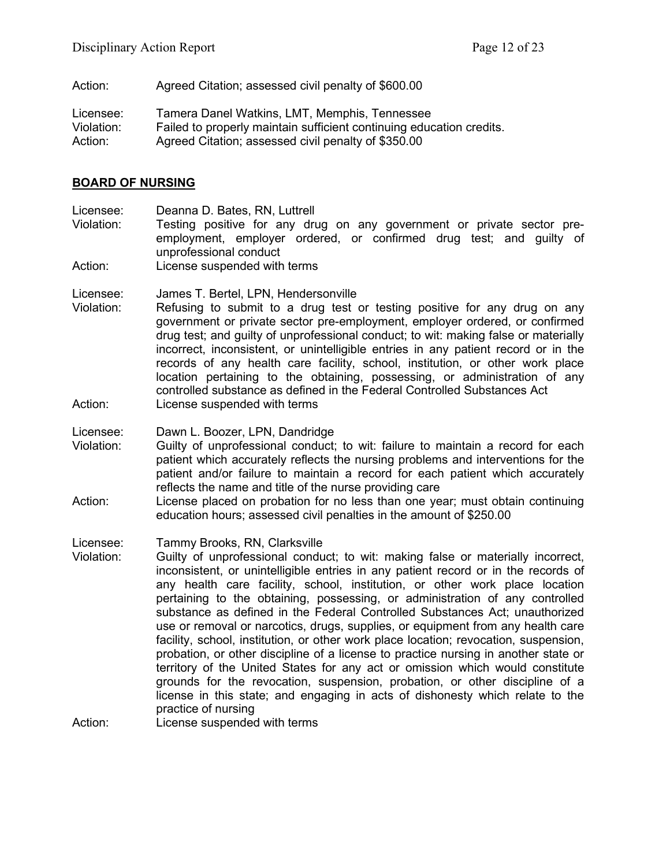Action: Agreed Citation; assessed civil penalty of \$600.00

Licensee: Tamera Danel Watkins, LMT, Memphis, Tennessee Violation: Failed to properly maintain sufficient continuing education credits. Action: Agreed Citation; assessed civil penalty of \$350.00

#### **BOARD OF NURSING**

Licensee: Deanna D. Bates, RN, Luttrell<br>Violation: Testing positive for any dru

Testing positive for any drug on any government or private sector preemployment, employer ordered, or confirmed drug test; and guilty of unprofessional conduct

Action: License suspended with terms

Licensee: James T. Bertel, LPN, Hendersonville

Violation: Refusing to submit to a drug test or testing positive for any drug on any government or private sector pre-employment, employer ordered, or confirmed drug test; and guilty of unprofessional conduct; to wit: making false or materially incorrect, inconsistent, or unintelligible entries in any patient record or in the records of any health care facility, school, institution, or other work place location pertaining to the obtaining, possessing, or administration of any controlled substance as defined in the Federal Controlled Substances Act Action: License suspended with terms

Licensee: Dawn L. Boozer, LPN, Dandridge

- Violation: Guilty of unprofessional conduct; to wit: failure to maintain a record for each patient which accurately reflects the nursing problems and interventions for the patient and/or failure to maintain a record for each patient which accurately reflects the name and title of the nurse providing care
- Action: License placed on probation for no less than one year; must obtain continuing education hours; assessed civil penalties in the amount of \$250.00

Licensee: Tammy Brooks, RN, Clarksville

Violation: Guilty of unprofessional conduct; to wit: making false or materially incorrect, inconsistent, or unintelligible entries in any patient record or in the records of any health care facility, school, institution, or other work place location pertaining to the obtaining, possessing, or administration of any controlled substance as defined in the Federal Controlled Substances Act; unauthorized use or removal or narcotics, drugs, supplies, or equipment from any health care facility, school, institution, or other work place location; revocation, suspension, probation, or other discipline of a license to practice nursing in another state or territory of the United States for any act or omission which would constitute grounds for the revocation, suspension, probation, or other discipline of a license in this state; and engaging in acts of dishonesty which relate to the practice of nursing

Action: License suspended with terms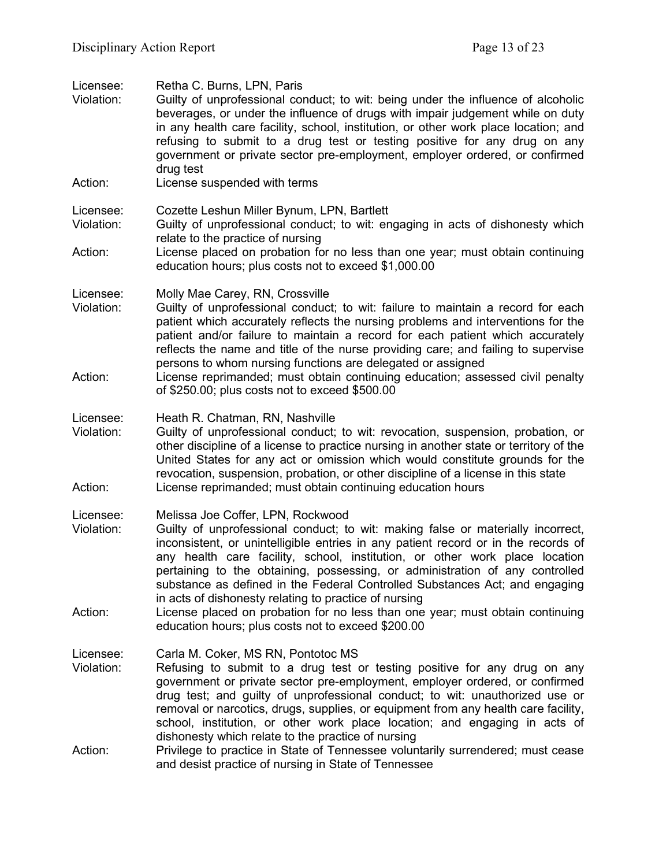| Retha C. Burns, LPN, Paris<br>Guilty of unprofessional conduct; to wit: being under the influence of alcoholic<br>beverages, or under the influence of drugs with impair judgement while on duty<br>in any health care facility, school, institution, or other work place location; and<br>refusing to submit to a drug test or testing positive for any drug on any<br>government or private sector pre-employment, employer ordered, or confirmed<br>drug test                                                                                                                                                                                         |
|----------------------------------------------------------------------------------------------------------------------------------------------------------------------------------------------------------------------------------------------------------------------------------------------------------------------------------------------------------------------------------------------------------------------------------------------------------------------------------------------------------------------------------------------------------------------------------------------------------------------------------------------------------|
| License suspended with terms                                                                                                                                                                                                                                                                                                                                                                                                                                                                                                                                                                                                                             |
| Cozette Leshun Miller Bynum, LPN, Bartlett<br>Guilty of unprofessional conduct; to wit: engaging in acts of dishonesty which<br>relate to the practice of nursing                                                                                                                                                                                                                                                                                                                                                                                                                                                                                        |
| License placed on probation for no less than one year; must obtain continuing<br>education hours; plus costs not to exceed \$1,000.00                                                                                                                                                                                                                                                                                                                                                                                                                                                                                                                    |
| Molly Mae Carey, RN, Crossville<br>Guilty of unprofessional conduct; to wit: failure to maintain a record for each<br>patient which accurately reflects the nursing problems and interventions for the<br>patient and/or failure to maintain a record for each patient which accurately<br>reflects the name and title of the nurse providing care; and failing to supervise<br>persons to whom nursing functions are delegated or assigned                                                                                                                                                                                                              |
| License reprimanded; must obtain continuing education; assessed civil penalty<br>of \$250.00; plus costs not to exceed \$500.00                                                                                                                                                                                                                                                                                                                                                                                                                                                                                                                          |
| Heath R. Chatman, RN, Nashville<br>Guilty of unprofessional conduct; to wit: revocation, suspension, probation, or<br>other discipline of a license to practice nursing in another state or territory of the<br>United States for any act or omission which would constitute grounds for the<br>revocation, suspension, probation, or other discipline of a license in this state<br>License reprimanded; must obtain continuing education hours                                                                                                                                                                                                         |
| Melissa Joe Coffer, LPN, Rockwood<br>Guilty of unprofessional conduct; to wit: making false or materially incorrect,<br>inconsistent, or unintelligible entries in any patient record or in the records of<br>any health care facility, school, institution, or other work place location<br>pertaining to the obtaining, possessing, or administration of any controlled<br>substance as defined in the Federal Controlled Substances Act; and engaging<br>in acts of dishonesty relating to practice of nursing<br>License placed on probation for no less than one year; must obtain continuing<br>education hours; plus costs not to exceed \$200.00 |
| Carla M. Coker, MS RN, Pontotoc MS<br>Refusing to submit to a drug test or testing positive for any drug on any<br>government or private sector pre-employment, employer ordered, or confirmed<br>drug test; and guilty of unprofessional conduct; to wit: unauthorized use or<br>removal or narcotics, drugs, supplies, or equipment from any health care facility,<br>school, institution, or other work place location; and engaging in acts of<br>dishonesty which relate to the practice of nursing<br>Privilege to practice in State of Tennessee voluntarily surrendered; must cease                                                              |
|                                                                                                                                                                                                                                                                                                                                                                                                                                                                                                                                                                                                                                                          |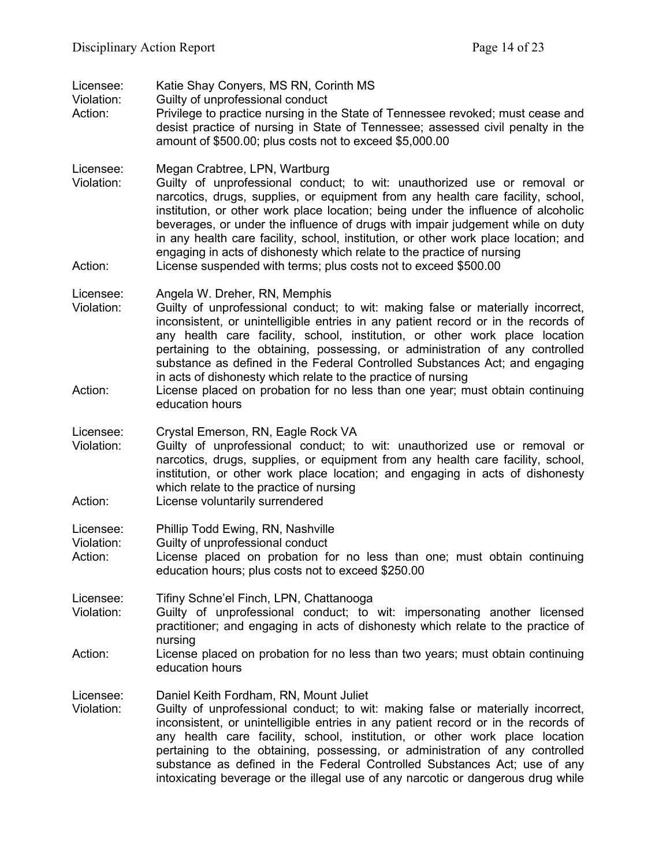| Licensee:<br>Violation:<br>Action: | Katie Shay Conyers, MS RN, Corinth MS<br>Guilty of unprofessional conduct<br>Privilege to practice nursing in the State of Tennessee revoked; must cease and<br>desist practice of nursing in State of Tennessee; assessed civil penalty in the<br>amount of \$500.00; plus costs not to exceed \$5,000.00                                                                                                                                                                                                                                                                                                                |
|------------------------------------|---------------------------------------------------------------------------------------------------------------------------------------------------------------------------------------------------------------------------------------------------------------------------------------------------------------------------------------------------------------------------------------------------------------------------------------------------------------------------------------------------------------------------------------------------------------------------------------------------------------------------|
| Licensee:<br>Violation:<br>Action: | Megan Crabtree, LPN, Wartburg<br>Guilty of unprofessional conduct; to wit: unauthorized use or removal or<br>narcotics, drugs, supplies, or equipment from any health care facility, school,<br>institution, or other work place location; being under the influence of alcoholic<br>beverages, or under the influence of drugs with impair judgement while on duty<br>in any health care facility, school, institution, or other work place location; and<br>engaging in acts of dishonesty which relate to the practice of nursing<br>License suspended with terms; plus costs not to exceed \$500.00                   |
| Licensee:<br>Violation:<br>Action: | Angela W. Dreher, RN, Memphis<br>Guilty of unprofessional conduct; to wit: making false or materially incorrect,<br>inconsistent, or unintelligible entries in any patient record or in the records of<br>any health care facility, school, institution, or other work place location<br>pertaining to the obtaining, possessing, or administration of any controlled<br>substance as defined in the Federal Controlled Substances Act; and engaging<br>in acts of dishonesty which relate to the practice of nursing<br>License placed on probation for no less than one year; must obtain continuing<br>education hours |
| Licensee:<br>Violation:<br>Action: | Crystal Emerson, RN, Eagle Rock VA<br>Guilty of unprofessional conduct; to wit: unauthorized use or removal or<br>narcotics, drugs, supplies, or equipment from any health care facility, school,<br>institution, or other work place location; and engaging in acts of dishonesty<br>which relate to the practice of nursing<br>License voluntarily surrendered                                                                                                                                                                                                                                                          |
| Licensee:<br>Violation:<br>Action: | Phillip Todd Ewing, RN, Nashville<br>Guilty of unprofessional conduct<br>License placed on probation for no less than one; must obtain continuing<br>education hours; plus costs not to exceed \$250.00                                                                                                                                                                                                                                                                                                                                                                                                                   |
| Licensee:<br>Violation:<br>Action: | Tifiny Schne'el Finch, LPN, Chattanooga<br>Guilty of unprofessional conduct; to wit: impersonating another licensed<br>practitioner; and engaging in acts of dishonesty which relate to the practice of<br>nursing<br>License placed on probation for no less than two years; must obtain continuing                                                                                                                                                                                                                                                                                                                      |
| Licensee:<br>Violation:            | education hours<br>Daniel Keith Fordham, RN, Mount Juliet<br>Guilty of unprofessional conduct; to wit: making false or materially incorrect,<br>inconsistent, or unintelligible entries in any patient record or in the records of<br>any health care facility, school, institution, or other work place location<br>pertaining to the obtaining, possessing, or administration of any controlled<br>substance as defined in the Federal Controlled Substances Act; use of any<br>intoxicating beverage or the illegal use of any narcotic or dangerous drug while                                                        |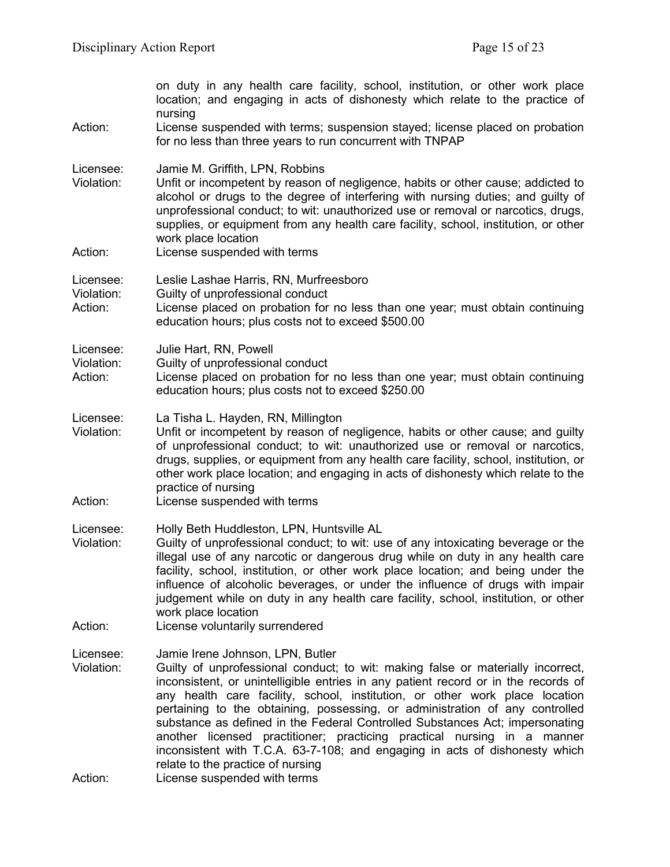| on duty in any health care facility, school, institution, or other work place<br>location; and engaging in acts of dishonesty which relate to the practice of<br>nursing                                                                                                                                                                                                                                                                                                                                                                                                                                                                                                                |
|-----------------------------------------------------------------------------------------------------------------------------------------------------------------------------------------------------------------------------------------------------------------------------------------------------------------------------------------------------------------------------------------------------------------------------------------------------------------------------------------------------------------------------------------------------------------------------------------------------------------------------------------------------------------------------------------|
| License suspended with terms; suspension stayed; license placed on probation<br>for no less than three years to run concurrent with TNPAP                                                                                                                                                                                                                                                                                                                                                                                                                                                                                                                                               |
| Jamie M. Griffith, LPN, Robbins<br>Unfit or incompetent by reason of negligence, habits or other cause; addicted to<br>alcohol or drugs to the degree of interfering with nursing duties; and guilty of<br>unprofessional conduct; to wit: unauthorized use or removal or narcotics, drugs,<br>supplies, or equipment from any health care facility, school, institution, or other<br>work place location                                                                                                                                                                                                                                                                               |
| License suspended with terms                                                                                                                                                                                                                                                                                                                                                                                                                                                                                                                                                                                                                                                            |
| Leslie Lashae Harris, RN, Murfreesboro<br>Guilty of unprofessional conduct<br>License placed on probation for no less than one year; must obtain continuing<br>education hours; plus costs not to exceed \$500.00                                                                                                                                                                                                                                                                                                                                                                                                                                                                       |
| Julie Hart, RN, Powell<br>Guilty of unprofessional conduct<br>License placed on probation for no less than one year; must obtain continuing<br>education hours; plus costs not to exceed \$250.00                                                                                                                                                                                                                                                                                                                                                                                                                                                                                       |
| La Tisha L. Hayden, RN, Millington<br>Unfit or incompetent by reason of negligence, habits or other cause; and guilty<br>of unprofessional conduct; to wit: unauthorized use or removal or narcotics,<br>drugs, supplies, or equipment from any health care facility, school, institution, or<br>other work place location; and engaging in acts of dishonesty which relate to the<br>practice of nursing<br>License suspended with terms                                                                                                                                                                                                                                               |
| Holly Beth Huddleston, LPN, Huntsville AL<br>Guilty of unprofessional conduct; to wit: use of any intoxicating beverage or the<br>illegal use of any narcotic or dangerous drug while on duty in any health care<br>facility, school, institution, or other work place location; and being under the<br>influence of alcoholic beverages, or under the influence of drugs with impair<br>judgement while on duty in any health care facility, school, institution, or other<br>work place location<br>License voluntarily surrendered                                                                                                                                                   |
| Jamie Irene Johnson, LPN, Butler<br>Guilty of unprofessional conduct; to wit: making false or materially incorrect,<br>inconsistent, or unintelligible entries in any patient record or in the records of<br>any health care facility, school, institution, or other work place location<br>pertaining to the obtaining, possessing, or administration of any controlled<br>substance as defined in the Federal Controlled Substances Act; impersonating<br>another licensed practitioner; practicing practical nursing in a manner<br>inconsistent with T.C.A. 63-7-108; and engaging in acts of dishonesty which<br>relate to the practice of nursing<br>License suspended with terms |
|                                                                                                                                                                                                                                                                                                                                                                                                                                                                                                                                                                                                                                                                                         |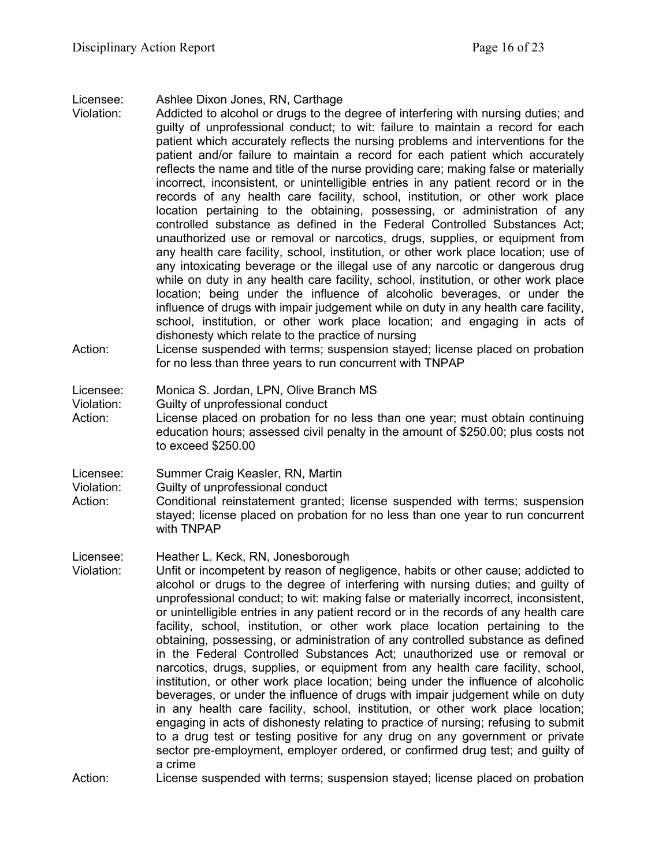Licensee: Ashlee Dixon Jones, RN, Carthage

- Violation: Addicted to alcohol or drugs to the degree of interfering with nursing duties; and guilty of unprofessional conduct; to wit: failure to maintain a record for each patient which accurately reflects the nursing problems and interventions for the patient and/or failure to maintain a record for each patient which accurately reflects the name and title of the nurse providing care; making false or materially incorrect, inconsistent, or unintelligible entries in any patient record or in the records of any health care facility, school, institution, or other work place location pertaining to the obtaining, possessing, or administration of any controlled substance as defined in the Federal Controlled Substances Act; unauthorized use or removal or narcotics, drugs, supplies, or equipment from any health care facility, school, institution, or other work place location; use of any intoxicating beverage or the illegal use of any narcotic or dangerous drug while on duty in any health care facility, school, institution, or other work place location; being under the influence of alcoholic beverages, or under the influence of drugs with impair judgement while on duty in any health care facility, school, institution, or other work place location; and engaging in acts of dishonesty which relate to the practice of nursing
- Action: License suspended with terms; suspension stayed; license placed on probation for no less than three years to run concurrent with TNPAP

#### Licensee: Monica S. Jordan, LPN, Olive Branch MS

Violation: Guilty of unprofessional conduct

Action: License placed on probation for no less than one year; must obtain continuing education hours; assessed civil penalty in the amount of \$250.00; plus costs not to exceed \$250.00

Licensee: Summer Craig Keasler, RN, Martin

Violation: Guilty of unprofessional conduct

- Action: Conditional reinstatement granted; license suspended with terms; suspension stayed; license placed on probation for no less than one year to run concurrent with TNPAP
- Licensee: Heather L. Keck, RN, Jonesborough Violation: Unfit or incompetent by reason of negligence, habits or other cause; addicted to
	- alcohol or drugs to the degree of interfering with nursing duties; and guilty of unprofessional conduct; to wit: making false or materially incorrect, inconsistent, or unintelligible entries in any patient record or in the records of any health care facility, school, institution, or other work place location pertaining to the obtaining, possessing, or administration of any controlled substance as defined in the Federal Controlled Substances Act; unauthorized use or removal or narcotics, drugs, supplies, or equipment from any health care facility, school, institution, or other work place location; being under the influence of alcoholic beverages, or under the influence of drugs with impair judgement while on duty in any health care facility, school, institution, or other work place location; engaging in acts of dishonesty relating to practice of nursing; refusing to submit to a drug test or testing positive for any drug on any government or private sector pre-employment, employer ordered, or confirmed drug test; and guilty of a crime

Action: License suspended with terms; suspension stayed; license placed on probation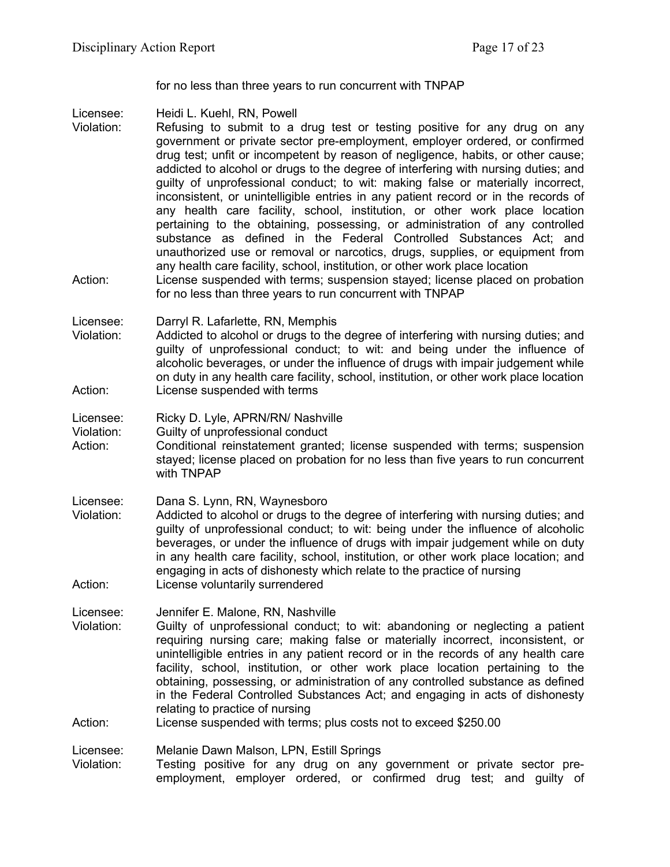for no less than three years to run concurrent with TNPAP

Licensee: Heidi L. Kuehl, RN, Powell<br>Violation: Refusing to submit to a

- Refusing to submit to a drug test or testing positive for any drug on any government or private sector pre-employment, employer ordered, or confirmed drug test; unfit or incompetent by reason of negligence, habits, or other cause; addicted to alcohol or drugs to the degree of interfering with nursing duties; and guilty of unprofessional conduct; to wit: making false or materially incorrect, inconsistent, or unintelligible entries in any patient record or in the records of any health care facility, school, institution, or other work place location pertaining to the obtaining, possessing, or administration of any controlled substance as defined in the Federal Controlled Substances Act; and unauthorized use or removal or narcotics, drugs, supplies, or equipment from any health care facility, school, institution, or other work place location
- Action: License suspended with terms; suspension stayed; license placed on probation for no less than three years to run concurrent with TNPAP

Licensee: Darryl R. Lafarlette, RN, Memphis

Violation: Addicted to alcohol or drugs to the degree of interfering with nursing duties; and guilty of unprofessional conduct; to wit: and being under the influence of alcoholic beverages, or under the influence of drugs with impair judgement while on duty in any health care facility, school, institution, or other work place location Action: License suspended with terms

Licensee: Ricky D. Lyle, APRN/RN/ Nashville

Violation: Guilty of unprofessional conduct

Action: Conditional reinstatement granted; license suspended with terms; suspension stayed; license placed on probation for no less than five years to run concurrent with TNPAP

Licensee: Dana S. Lynn, RN, Waynesboro

Violation: Addicted to alcohol or drugs to the degree of interfering with nursing duties; and guilty of unprofessional conduct; to wit: being under the influence of alcoholic beverages, or under the influence of drugs with impair judgement while on duty in any health care facility, school, institution, or other work place location; and engaging in acts of dishonesty which relate to the practice of nursing Action: License voluntarily surrendered

Licensee: Jennifer E. Malone, RN, Nashville

- Violation: Guilty of unprofessional conduct; to wit: abandoning or neglecting a patient requiring nursing care; making false or materially incorrect, inconsistent, or unintelligible entries in any patient record or in the records of any health care facility, school, institution, or other work place location pertaining to the obtaining, possessing, or administration of any controlled substance as defined in the Federal Controlled Substances Act; and engaging in acts of dishonesty relating to practice of nursing
- Action: License suspended with terms; plus costs not to exceed \$250.00

Licensee: Melanie Dawn Malson, LPN, Estill Springs

Violation: Testing positive for any drug on any government or private sector preemployment, employer ordered, or confirmed drug test; and guilty of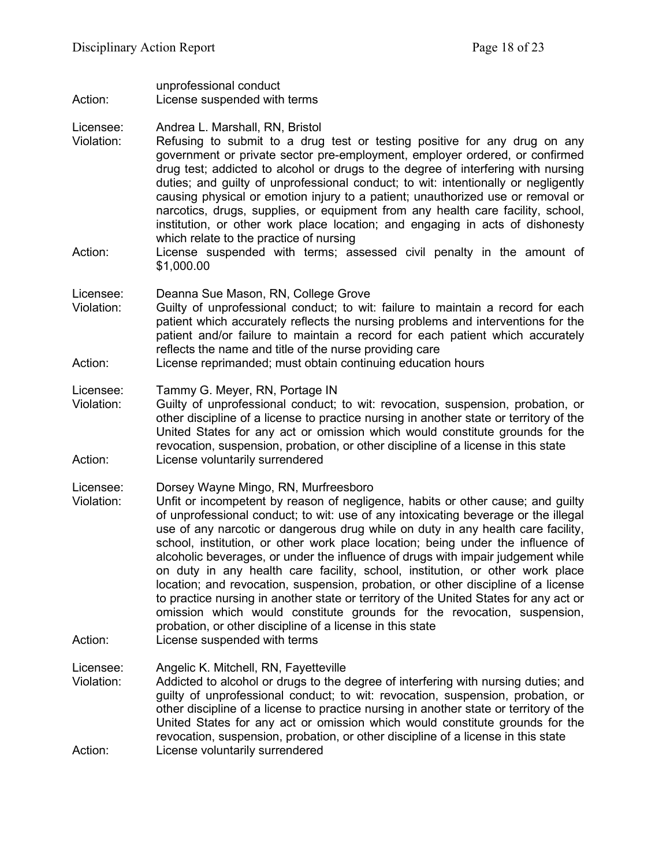unprofessional conduct Action: License suspended with terms

Licensee: Andrea L. Marshall, RN, Bristol

- Violation: Refusing to submit to a drug test or testing positive for any drug on any government or private sector pre-employment, employer ordered, or confirmed drug test; addicted to alcohol or drugs to the degree of interfering with nursing duties; and guilty of unprofessional conduct; to wit: intentionally or negligently causing physical or emotion injury to a patient; unauthorized use or removal or narcotics, drugs, supplies, or equipment from any health care facility, school, institution, or other work place location; and engaging in acts of dishonesty which relate to the practice of nursing
- Action: License suspended with terms; assessed civil penalty in the amount of \$1,000.00

Licensee: Deanna Sue Mason, RN, College Grove

- Violation: Guilty of unprofessional conduct; to wit: failure to maintain a record for each patient which accurately reflects the nursing problems and interventions for the patient and/or failure to maintain a record for each patient which accurately reflects the name and title of the nurse providing care
- Action: License reprimanded; must obtain continuing education hours

Licensee: Tammy G. Meyer, RN, Portage IN

Violation: Guilty of unprofessional conduct; to wit: revocation, suspension, probation, or other discipline of a license to practice nursing in another state or territory of the United States for any act or omission which would constitute grounds for the revocation, suspension, probation, or other discipline of a license in this state Action: License voluntarily surrendered

Licensee: Dorsey Wayne Mingo, RN, Murfreesboro

Violation: Unfit or incompetent by reason of negligence, habits or other cause; and guilty of unprofessional conduct; to wit: use of any intoxicating beverage or the illegal use of any narcotic or dangerous drug while on duty in any health care facility, school, institution, or other work place location; being under the influence of alcoholic beverages, or under the influence of drugs with impair judgement while on duty in any health care facility, school, institution, or other work place location; and revocation, suspension, probation, or other discipline of a license to practice nursing in another state or territory of the United States for any act or omission which would constitute grounds for the revocation, suspension, probation, or other discipline of a license in this state Action: License suspended with terms

Licensee: Angelic K. Mitchell, RN, Fayetteville

Violation: Addicted to alcohol or drugs to the degree of interfering with nursing duties; and guilty of unprofessional conduct; to wit: revocation, suspension, probation, or other discipline of a license to practice nursing in another state or territory of the United States for any act or omission which would constitute grounds for the revocation, suspension, probation, or other discipline of a license in this state Action: License voluntarily surrendered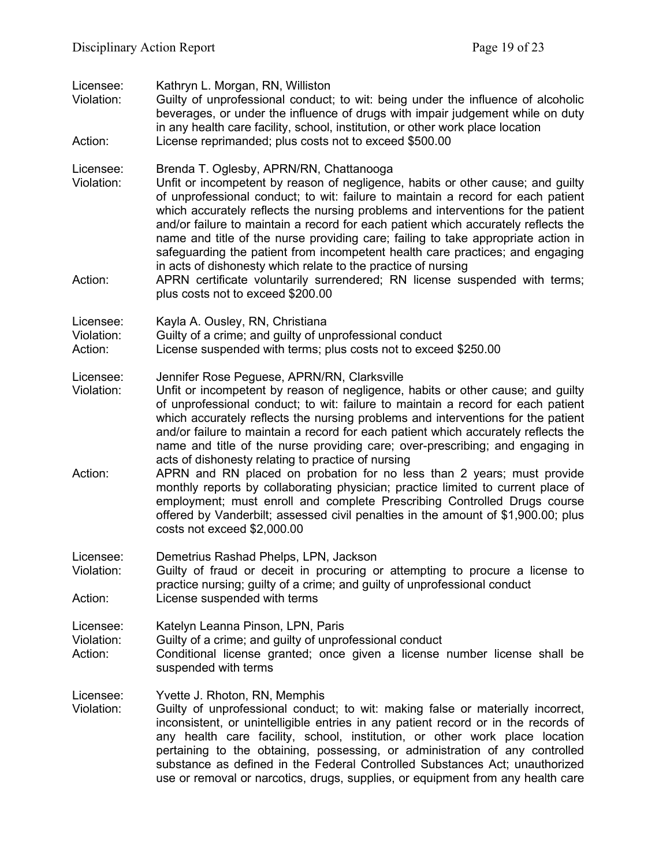| Licensee:<br>Violation:<br>Action: | Kathryn L. Morgan, RN, Williston<br>Guilty of unprofessional conduct; to wit: being under the influence of alcoholic<br>beverages, or under the influence of drugs with impair judgement while on duty<br>in any health care facility, school, institution, or other work place location<br>License reprimanded; plus costs not to exceed \$500.00                                                                                                                                                                                                                                                                                                                                                                                                                                                                                                                                                |
|------------------------------------|---------------------------------------------------------------------------------------------------------------------------------------------------------------------------------------------------------------------------------------------------------------------------------------------------------------------------------------------------------------------------------------------------------------------------------------------------------------------------------------------------------------------------------------------------------------------------------------------------------------------------------------------------------------------------------------------------------------------------------------------------------------------------------------------------------------------------------------------------------------------------------------------------|
| Licensee:<br>Violation:<br>Action: | Brenda T. Oglesby, APRN/RN, Chattanooga<br>Unfit or incompetent by reason of negligence, habits or other cause; and guilty<br>of unprofessional conduct; to wit: failure to maintain a record for each patient<br>which accurately reflects the nursing problems and interventions for the patient<br>and/or failure to maintain a record for each patient which accurately reflects the<br>name and title of the nurse providing care; failing to take appropriate action in<br>safeguarding the patient from incompetent health care practices; and engaging<br>in acts of dishonesty which relate to the practice of nursing<br>APRN certificate voluntarily surrendered; RN license suspended with terms;<br>plus costs not to exceed \$200.00                                                                                                                                                |
| Licensee:<br>Violation:<br>Action: | Kayla A. Ousley, RN, Christiana<br>Guilty of a crime; and guilty of unprofessional conduct<br>License suspended with terms; plus costs not to exceed \$250.00                                                                                                                                                                                                                                                                                                                                                                                                                                                                                                                                                                                                                                                                                                                                     |
| Licensee:<br>Violation:<br>Action: | Jennifer Rose Peguese, APRN/RN, Clarksville<br>Unfit or incompetent by reason of negligence, habits or other cause; and guilty<br>of unprofessional conduct; to wit: failure to maintain a record for each patient<br>which accurately reflects the nursing problems and interventions for the patient<br>and/or failure to maintain a record for each patient which accurately reflects the<br>name and title of the nurse providing care; over-prescribing; and engaging in<br>acts of dishonesty relating to practice of nursing<br>APRN and RN placed on probation for no less than 2 years; must provide<br>monthly reports by collaborating physician; practice limited to current place of<br>employment; must enroll and complete Prescribing Controlled Drugs course<br>offered by Vanderbilt; assessed civil penalties in the amount of \$1,900.00; plus<br>costs not exceed \$2,000.00 |
| Licensee:<br>Violation:<br>Action: | Demetrius Rashad Phelps, LPN, Jackson<br>Guilty of fraud or deceit in procuring or attempting to procure a license to<br>practice nursing; guilty of a crime; and guilty of unprofessional conduct<br>License suspended with terms                                                                                                                                                                                                                                                                                                                                                                                                                                                                                                                                                                                                                                                                |
| Licensee:<br>Violation:<br>Action: | Katelyn Leanna Pinson, LPN, Paris<br>Guilty of a crime; and guilty of unprofessional conduct<br>Conditional license granted; once given a license number license shall be<br>suspended with terms                                                                                                                                                                                                                                                                                                                                                                                                                                                                                                                                                                                                                                                                                                 |
| Licensee:<br>Violation:            | Yvette J. Rhoton, RN, Memphis<br>Guilty of unprofessional conduct; to wit: making false or materially incorrect,<br>inconsistent, or unintelligible entries in any patient record or in the records of<br>any health care facility, school, institution, or other work place location<br>pertaining to the obtaining, possessing, or administration of any controlled<br>substance as defined in the Federal Controlled Substances Act; unauthorized                                                                                                                                                                                                                                                                                                                                                                                                                                              |

use or removal or narcotics, drugs, supplies, or equipment from any health care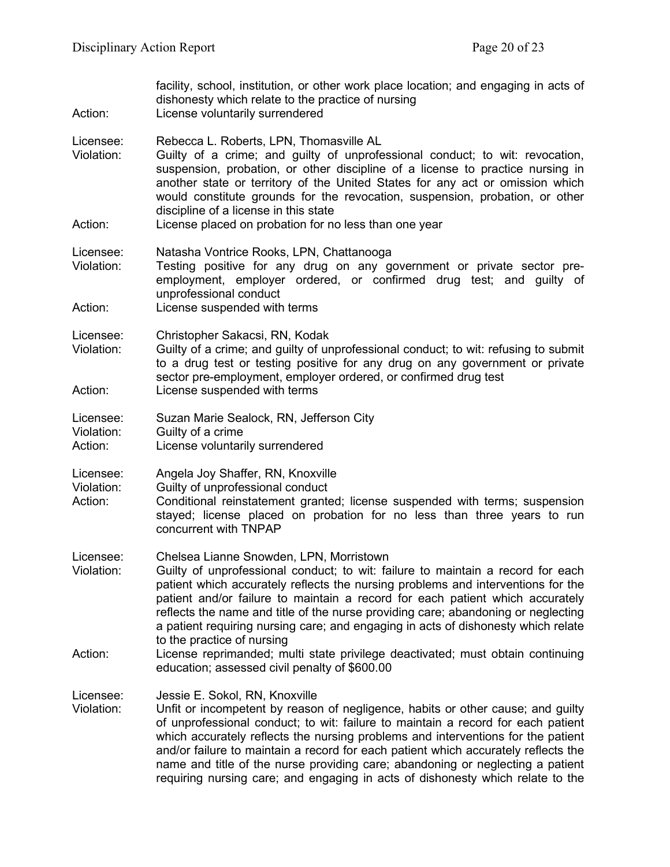| Action:                            | facility, school, institution, or other work place location; and engaging in acts of<br>dishonesty which relate to the practice of nursing<br>License voluntarily surrendered                                                                                                                                                                                                                                                                                                                                                                       |
|------------------------------------|-----------------------------------------------------------------------------------------------------------------------------------------------------------------------------------------------------------------------------------------------------------------------------------------------------------------------------------------------------------------------------------------------------------------------------------------------------------------------------------------------------------------------------------------------------|
| Licensee:<br>Violation:<br>Action: | Rebecca L. Roberts, LPN, Thomasville AL<br>Guilty of a crime; and guilty of unprofessional conduct; to wit: revocation,<br>suspension, probation, or other discipline of a license to practice nursing in<br>another state or territory of the United States for any act or omission which<br>would constitute grounds for the revocation, suspension, probation, or other<br>discipline of a license in this state<br>License placed on probation for no less than one year                                                                        |
| Licensee:<br>Violation:            | Natasha Vontrice Rooks, LPN, Chattanooga<br>Testing positive for any drug on any government or private sector pre-<br>employment, employer ordered, or confirmed drug test; and guilty of<br>unprofessional conduct                                                                                                                                                                                                                                                                                                                                 |
| Action:                            | License suspended with terms                                                                                                                                                                                                                                                                                                                                                                                                                                                                                                                        |
| Licensee:<br>Violation:<br>Action: | Christopher Sakacsi, RN, Kodak<br>Guilty of a crime; and guilty of unprofessional conduct; to wit: refusing to submit<br>to a drug test or testing positive for any drug on any government or private<br>sector pre-employment, employer ordered, or confirmed drug test<br>License suspended with terms                                                                                                                                                                                                                                            |
| Licensee:<br>Violation:<br>Action: | Suzan Marie Sealock, RN, Jefferson City<br>Guilty of a crime<br>License voluntarily surrendered                                                                                                                                                                                                                                                                                                                                                                                                                                                     |
| Licensee:<br>Violation:<br>Action: | Angela Joy Shaffer, RN, Knoxville<br>Guilty of unprofessional conduct<br>Conditional reinstatement granted; license suspended with terms; suspension<br>stayed; license placed on probation for no less than three years to run<br>concurrent with TNPAP                                                                                                                                                                                                                                                                                            |
| Licensee:<br>Violation:            | Chelsea Lianne Snowden, LPN, Morristown<br>Guilty of unprofessional conduct; to wit: failure to maintain a record for each<br>patient which accurately reflects the nursing problems and interventions for the<br>patient and/or failure to maintain a record for each patient which accurately<br>reflects the name and title of the nurse providing care; abandoning or neglecting<br>a patient requiring nursing care; and engaging in acts of dishonesty which relate<br>to the practice of nursing                                             |
| Action:                            | License reprimanded; multi state privilege deactivated; must obtain continuing<br>education; assessed civil penalty of \$600.00                                                                                                                                                                                                                                                                                                                                                                                                                     |
| Licensee:<br>Violation:            | Jessie E. Sokol, RN, Knoxville<br>Unfit or incompetent by reason of negligence, habits or other cause; and guilty<br>of unprofessional conduct; to wit: failure to maintain a record for each patient<br>which accurately reflects the nursing problems and interventions for the patient<br>and/or failure to maintain a record for each patient which accurately reflects the<br>name and title of the nurse providing care; abandoning or neglecting a patient<br>requiring nursing care; and engaging in acts of dishonesty which relate to the |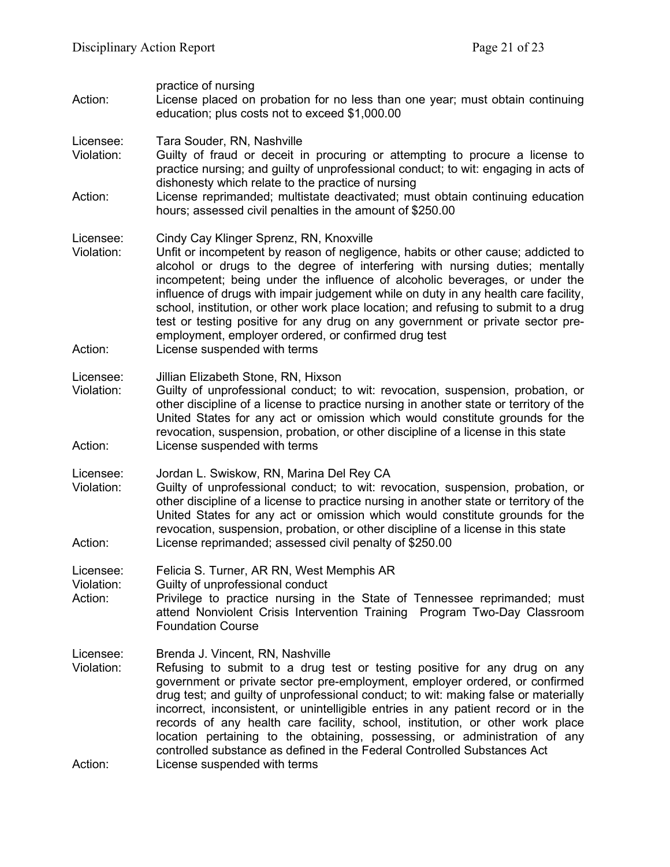| practice of nursing<br>License placed on probation for no less than one year; must obtain continuing<br>education; plus costs not to exceed \$1,000.00                                                                                                                                                                                                                                                                                                                                                                                                                                                                                               |
|------------------------------------------------------------------------------------------------------------------------------------------------------------------------------------------------------------------------------------------------------------------------------------------------------------------------------------------------------------------------------------------------------------------------------------------------------------------------------------------------------------------------------------------------------------------------------------------------------------------------------------------------------|
| Tara Souder, RN, Nashville<br>Guilty of fraud or deceit in procuring or attempting to procure a license to<br>practice nursing; and guilty of unprofessional conduct; to wit: engaging in acts of<br>dishonesty which relate to the practice of nursing<br>License reprimanded; multistate deactivated; must obtain continuing education<br>hours; assessed civil penalties in the amount of \$250.00                                                                                                                                                                                                                                                |
| Cindy Cay Klinger Sprenz, RN, Knoxville<br>Unfit or incompetent by reason of negligence, habits or other cause; addicted to<br>alcohol or drugs to the degree of interfering with nursing duties; mentally<br>incompetent; being under the influence of alcoholic beverages, or under the<br>influence of drugs with impair judgement while on duty in any health care facility,<br>school, institution, or other work place location; and refusing to submit to a drug<br>test or testing positive for any drug on any government or private sector pre-<br>employment, employer ordered, or confirmed drug test<br>License suspended with terms    |
| Jillian Elizabeth Stone, RN, Hixson<br>Guilty of unprofessional conduct; to wit: revocation, suspension, probation, or<br>other discipline of a license to practice nursing in another state or territory of the<br>United States for any act or omission which would constitute grounds for the<br>revocation, suspension, probation, or other discipline of a license in this state<br>License suspended with terms                                                                                                                                                                                                                                |
| Jordan L. Swiskow, RN, Marina Del Rey CA<br>Guilty of unprofessional conduct; to wit: revocation, suspension, probation, or<br>other discipline of a license to practice nursing in another state or territory of the<br>United States for any act or omission which would constitute grounds for the<br>revocation, suspension, probation, or other discipline of a license in this state<br>License reprimanded; assessed civil penalty of \$250.00                                                                                                                                                                                                |
| Felicia S. Turner, AR RN, West Memphis AR<br>Guilty of unprofessional conduct<br>Privilege to practice nursing in the State of Tennessee reprimanded; must<br>attend Nonviolent Crisis Intervention Training Program Two-Day Classroom<br><b>Foundation Course</b>                                                                                                                                                                                                                                                                                                                                                                                   |
| Brenda J. Vincent, RN, Nashville<br>Refusing to submit to a drug test or testing positive for any drug on any<br>government or private sector pre-employment, employer ordered, or confirmed<br>drug test; and guilty of unprofessional conduct; to wit: making false or materially<br>incorrect, inconsistent, or unintelligible entries in any patient record or in the<br>records of any health care facility, school, institution, or other work place<br>location pertaining to the obtaining, possessing, or administration of any<br>controlled substance as defined in the Federal Controlled Substances Act<br>License suspended with terms |
|                                                                                                                                                                                                                                                                                                                                                                                                                                                                                                                                                                                                                                                      |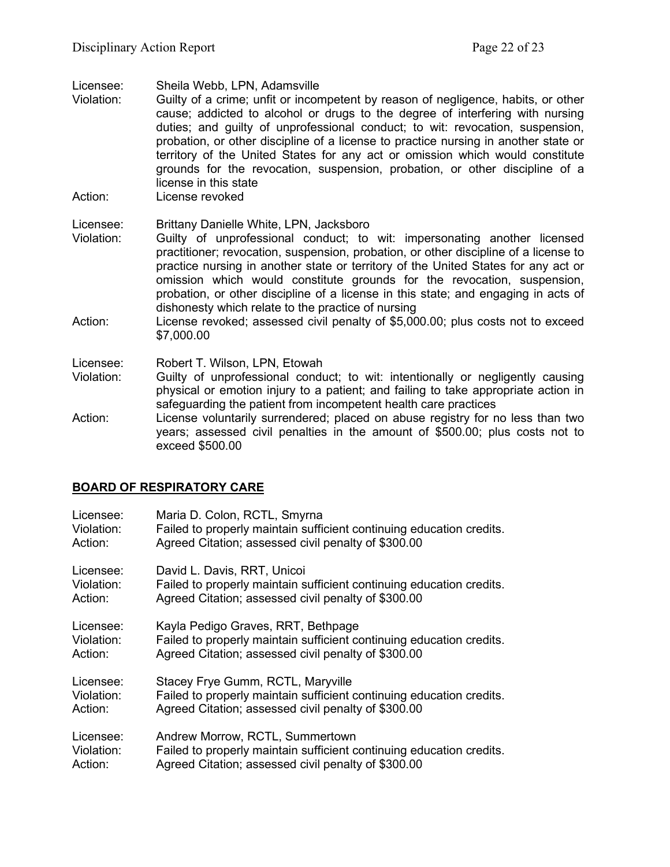Licensee: Sheila Webb, LPN, Adamsville

- Violation: Guilty of a crime; unfit or incompetent by reason of negligence, habits, or other cause; addicted to alcohol or drugs to the degree of interfering with nursing duties; and guilty of unprofessional conduct; to wit: revocation, suspension, probation, or other discipline of a license to practice nursing in another state or territory of the United States for any act or omission which would constitute grounds for the revocation, suspension, probation, or other discipline of a license in this state
- Action: License revoked

### Licensee: Brittany Danielle White, LPN, Jacksboro

- Violation: Guilty of unprofessional conduct; to wit: impersonating another licensed practitioner; revocation, suspension, probation, or other discipline of a license to practice nursing in another state or territory of the United States for any act or omission which would constitute grounds for the revocation, suspension, probation, or other discipline of a license in this state; and engaging in acts of dishonesty which relate to the practice of nursing
- Action: License revoked; assessed civil penalty of \$5,000.00; plus costs not to exceed \$7,000.00
- Licensee: Robert T. Wilson, LPN, Etowah
- Violation: Guilty of unprofessional conduct; to wit: intentionally or negligently causing physical or emotion injury to a patient; and failing to take appropriate action in safeguarding the patient from incompetent health care practices
- Action: License voluntarily surrendered; placed on abuse registry for no less than two years; assessed civil penalties in the amount of \$500.00; plus costs not to exceed \$500.00

# **BOARD OF RESPIRATORY CARE**

| Licensee:  | Maria D. Colon, RCTL, Smyrna                                         |
|------------|----------------------------------------------------------------------|
| Violation: | Failed to properly maintain sufficient continuing education credits. |
| Action:    | Agreed Citation; assessed civil penalty of \$300.00                  |
| Licensee:  | David L. Davis, RRT, Unicoi                                          |
| Violation: | Failed to properly maintain sufficient continuing education credits. |
| Action:    | Agreed Citation; assessed civil penalty of \$300.00                  |
| Licensee:  | Kayla Pedigo Graves, RRT, Bethpage                                   |
| Violation: | Failed to properly maintain sufficient continuing education credits. |
| Action:    | Agreed Citation; assessed civil penalty of \$300.00                  |
| Licensee:  | Stacey Frye Gumm, RCTL, Maryville                                    |
| Violation: | Failed to properly maintain sufficient continuing education credits. |
| Action:    | Agreed Citation; assessed civil penalty of \$300.00                  |
| Licensee:  | Andrew Morrow, RCTL, Summertown                                      |
| Violation: | Failed to properly maintain sufficient continuing education credits. |
| Action:    | Agreed Citation; assessed civil penalty of \$300.00                  |